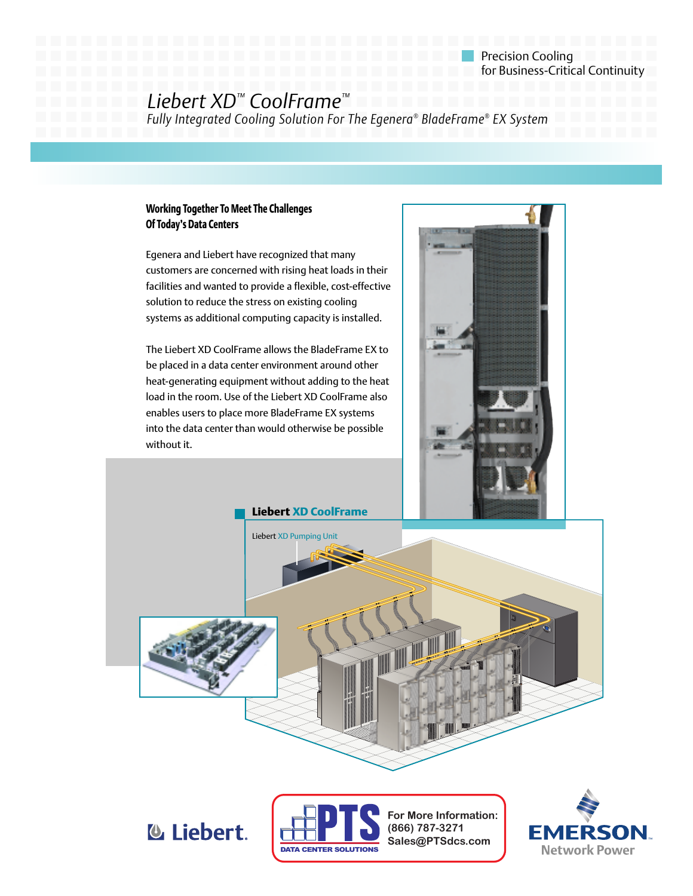Precision Cooling **for Business-Critical Continuity** 

## *Liebert XD™ CoolFrame™*

*Fully Integrated Cooling Solution For The Egenera® BladeFrame® EX System*

### **Working Together To Meet The Challenges Of Today's Data Centers**

Egenera and Liebert have recognized that many customers are concerned with rising heat loads in their facilities and wanted to provide a flexible, cost-effective solution to reduce the stress on existing cooling systems as additional computing capacity is installed.

The Liebert XD CoolFrame allows the BladeFrame EX to be placed in a data center environment around other heat-generating equipment without adding to the heat load in the room. Use of the Liebert XD CoolFrame also enables users to place more BladeFrame EX systems into the data center than would otherwise be possible without it.









EMERSON **Network Power**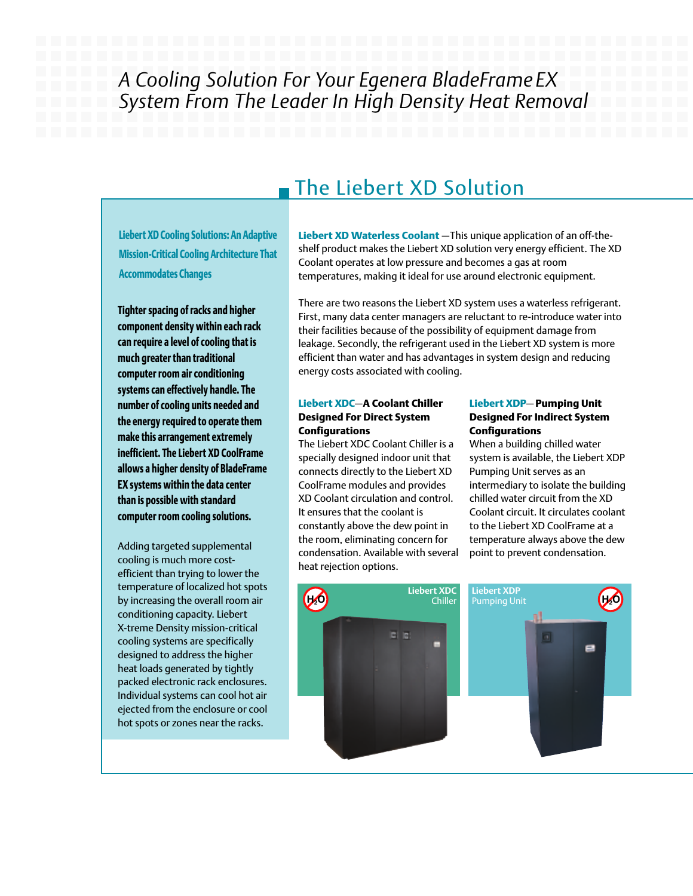# *A Cooling Solution For Your Egenera BladeFrame EX System From The Leader In High Density Heat Removal*

## The Liebert XD Solution

**Liebert XD Cooling Solutions: An Adaptive Mission-Critical Cooling Architecture That Accommodates Changes**

**Tighter spacing of racks and higher component density within each rack can require a level of cooling that is much greater than traditional computer room air conditioning systems can effectively handle. The number of cooling units needed and the energy required to operate them make this arrangement extremely inefficient. The Liebert XD CoolFrame allows a higher density of BladeFrame EX systems within the data center than is possible with standard computer room cooling solutions.**

Adding targeted supplemental cooling is much more costefficient than trying to lower the temperature of localized hot spots by increasing the overall room air conditioning capacity. Liebert X-treme Density mission-critical cooling systems are specifically designed to address the higher heat loads generated by tightly packed electronic rack enclosures. Individual systems can cool hot air ejected from the enclosure or cool hot spots or zones near the racks.

**Liebert XD Waterless Coolant** —This unique application of an off-theshelf product makes the Liebert XD solution very energy efficient. The XD Coolant operates at low pressure and becomes a gas at room temperatures, making it ideal for use around electronic equipment.

There are two reasons the Liebert XD system uses a waterless refrigerant. First, many data center managers are reluctant to re-introduce water into their facilities because of the possibility of equipment damage from leakage. Secondly, the refrigerant used in the Liebert XD system is more efficient than water and has advantages in system design and reducing energy costs associated with cooling.

### **Liebert XDC**—**A Coolant Chiller Designed For Direct System Configurations**

The Liebert XDC Coolant Chiller is a specially designed indoor unit that connects directly to the Liebert XD CoolFrame modules and provides XD Coolant circulation and control. It ensures that the coolant is constantly above the dew point in the room, eliminating concern for condensation. Available with several heat rejection options.

### **Liebert XDP**— **Pumping Unit Designed For Indirect System Configurations**

When a building chilled water system is available, the Liebert XDP Pumping Unit serves as an intermediary to isolate the building chilled water circuit from the XD Coolant circuit. It circulates coolant to the Liebert XD CoolFrame at a temperature always above the dew point to prevent condensation.

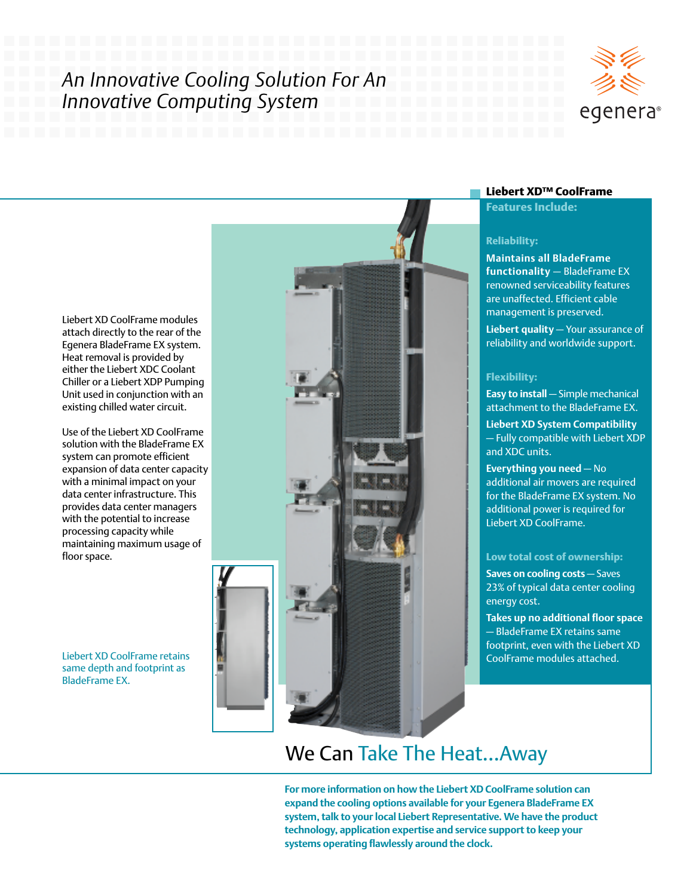# *An Innovative Cooling Solution For An Innovative Computing System*



Liebert XD CoolFrame modules attach directly to the rear of the Egenera BladeFrame EX system. Heat removal is provided by either the Liebert XDC Coolant Chiller or a Liebert XDP Pumping Unit used in conjunction with an existing chilled water circuit.

Use of the Liebert XD CoolFrame solution with the BladeFrame EX system can promote efficient expansion of data center capacity with a minimal impact on your data center infrastructure. This provides data center managers with the potential to increase processing capacity while maintaining maximum usage of floor space.

Liebert XD CoolFrame retains same depth and footprint as BladeFrame EX.



### **Liebert XD™ CoolFrame**

**Features Include:**

### **Reliability:**

**Maintains all BladeFrame functionality** — BladeFrame EX renowned serviceability features are unaffected. Efficient cable management is preserved.

**Liebert quality** — Your assurance of reliability and worldwide support.

#### **Flexibility:**

**Easy to install** — Simple mechanical attachment to the BladeFrame EX.

**Liebert XD System Compatibility** — Fully compatible with Liebert XDP and XDC units.

**Everything you need** — No additional air movers are required for the BladeFrame EX system. No additional power is required for Liebert XD CoolFrame.

### **Low total cost of ownership:**

**Saves on cooling costs** — Saves 23% of typical data center cooling energy cost.

**Takes up no additional floor space** — BladeFrame EX retains same footprint, even with the Liebert XD CoolFrame modules attached.

# We Can Take The Heat…Away

**For more information on how the Liebert XD CoolFrame solution can expand the cooling options available for your Egenera BladeFrame EX system, talk to your local Liebert Representative. We have the product technology, application expertise and service support to keep your systems operating flawlessly around the clock.**